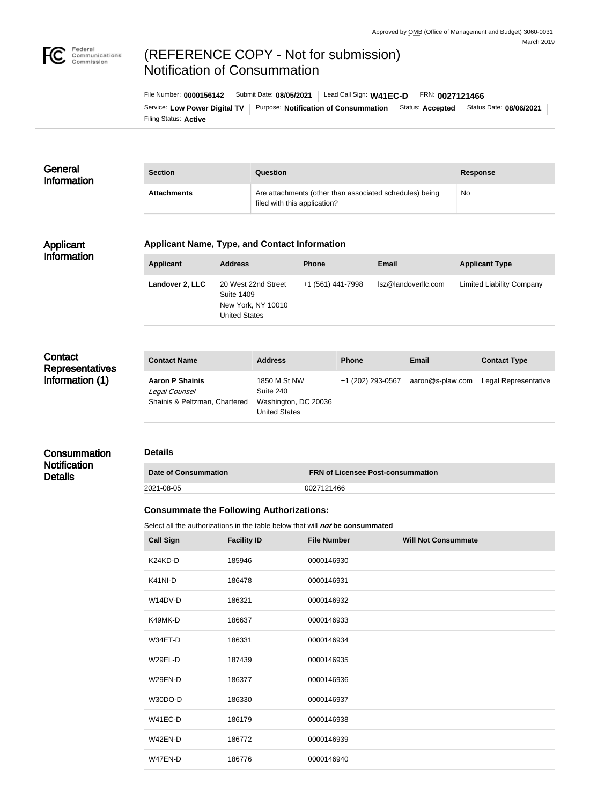

# (REFERENCE COPY - Not for submission) Notification of Consummation

Filing Status: **Active** Service: Low Power Digital TV | Purpose: Notification of Consummation | Status: Accepted | Status Date: 08/06/2021 File Number: **0000156142** Submit Date: **08/05/2021** Lead Call Sign: **W41EC-D** FRN: **0027121466**

| General<br>Information | <b>Section</b>     | Question                                                                                | <b>Response</b> |
|------------------------|--------------------|-----------------------------------------------------------------------------------------|-----------------|
|                        | <b>Attachments</b> | Are attachments (other than associated schedules) being<br>filed with this application? | No              |

#### Applicant Information

### **Applicant Name, Type, and Contact Information**

| <b>Applicant</b> | <b>Address</b>                                                                         | <b>Phone</b>      | Email               | <b>Applicant Type</b>            |
|------------------|----------------------------------------------------------------------------------------|-------------------|---------------------|----------------------------------|
| Landover 2, LLC  | 20 West 22nd Street<br><b>Suite 1409</b><br>New York, NY 10010<br><b>United States</b> | +1 (561) 441-7998 | lsz@landoverllc.com | <b>Limited Liability Company</b> |

## **Contact Representatives** Information (1)

**Consummation Notification** 

**Details** 

| <b>Contact Name</b>                                                      | <b>Address</b>                                                     | <b>Phone</b>      | Email            | <b>Contact Type</b>  |
|--------------------------------------------------------------------------|--------------------------------------------------------------------|-------------------|------------------|----------------------|
| <b>Aaron P Shainis</b><br>Legal Counsel<br>Shainis & Peltzman, Chartered | 1850 M St NW<br>Suite 240<br>Washington, DC 20036<br>United States | +1 (202) 293-0567 | aaron@s-plaw.com | Legal Representative |

## **Details**

| Date of Consummation | <b>FRN of Licensee Post-consummation</b> |
|----------------------|------------------------------------------|
| 2021-08-05           | 0027121466                               |

#### **Consummate the Following Authorizations:**

Select all the authorizations in the table below that will *not* be consummated

| <b>Call Sign</b> | <b>Facility ID</b> | <b>File Number</b> | <b>Will Not Consummate</b> |
|------------------|--------------------|--------------------|----------------------------|
| K24KD-D          | 185946             | 0000146930         |                            |
| K41NI-D          | 186478             | 0000146931         |                            |
| W14DV-D          | 186321             | 0000146932         |                            |
| K49MK-D          | 186637             | 0000146933         |                            |
| W34ET-D          | 186331             | 0000146934         |                            |
| W29EL-D          | 187439             | 0000146935         |                            |
| W29EN-D          | 186377             | 0000146936         |                            |
| W30DO-D          | 186330             | 0000146937         |                            |
| W41EC-D          | 186179             | 0000146938         |                            |
| W42EN-D          | 186772             | 0000146939         |                            |
| W47EN-D          | 186776             | 0000146940         |                            |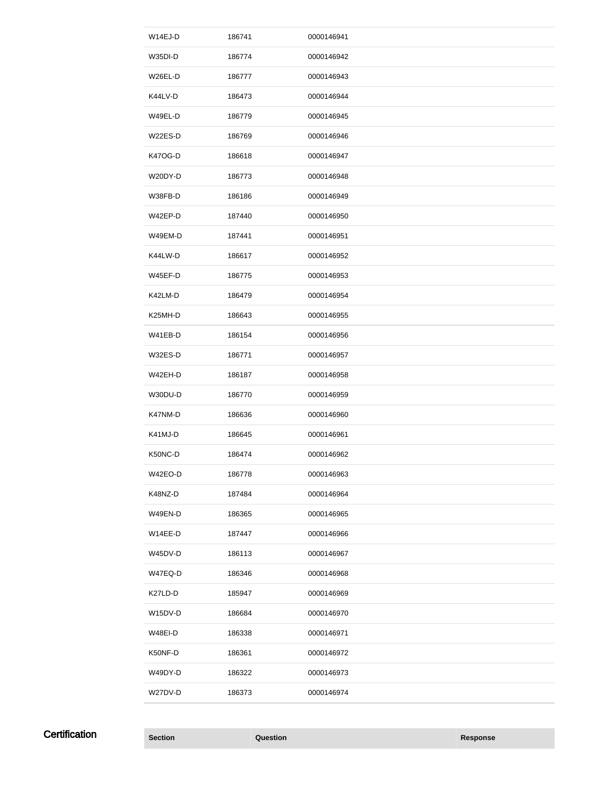| W14EJ-D        | 186741 | 0000146941 |
|----------------|--------|------------|
| W35DI-D        | 186774 | 0000146942 |
| W26EL-D        | 186777 | 0000146943 |
| K44LV-D        | 186473 | 0000146944 |
| W49EL-D        | 186779 | 0000146945 |
| W22ES-D        | 186769 | 0000146946 |
| <b>K47OG-D</b> | 186618 | 0000146947 |
| W20DY-D        | 186773 | 0000146948 |
| W38FB-D        | 186186 | 0000146949 |
| W42EP-D        | 187440 | 0000146950 |
| W49EM-D        | 187441 | 0000146951 |
| K44LW-D        | 186617 | 0000146952 |
| W45EF-D        | 186775 | 0000146953 |
| K42LM-D        | 186479 | 0000146954 |
| K25MH-D        | 186643 | 0000146955 |
| W41EB-D        | 186154 | 0000146956 |
| W32ES-D        | 186771 | 0000146957 |
| W42EH-D        | 186187 | 0000146958 |
| W30DU-D        | 186770 | 0000146959 |
| K47NM-D        | 186636 | 0000146960 |
| K41MJ-D        | 186645 | 0000146961 |
| K50NC-D        | 186474 | 0000146962 |
| W42EO-D        | 186778 | 0000146963 |
| K48NZ-D        | 187484 | 0000146964 |
| W49EN-D        | 186365 | 0000146965 |
| W14EE-D        |        |            |
|                | 187447 | 0000146966 |
| W45DV-D        | 186113 | 0000146967 |
| W47EQ-D        | 186346 | 0000146968 |
| K27LD-D        | 185947 | 0000146969 |
| W15DV-D        | 186684 | 0000146970 |
| W48EI-D        | 186338 | 0000146971 |
| K50NF-D        | 186361 | 0000146972 |
| W49DY-D        | 186322 | 0000146973 |
| W27DV-D        | 186373 | 0000146974 |

**Certification** 

**Section Question Response**